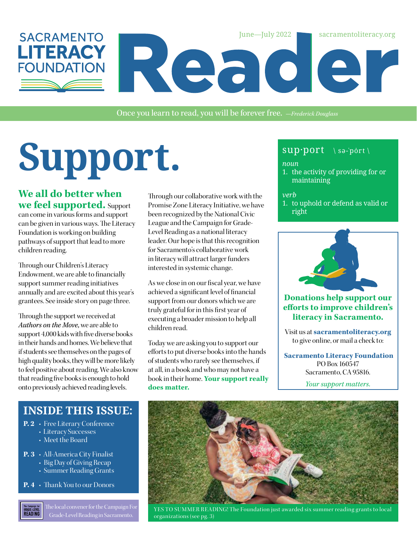

Once you learn to read, you will be forever free. *—Frederick Douglass*

# SUPPOOPL<sub>o</sub> sup<sup>port \ sə-<sup>'port \</sup> sə<sup>-'port</sup></sup>

**We all do better when we feel supported.** Support can come in various forms and support can be given in various ways. The Literacy Foundation is working on building pathways of support that lead to more children reading.

Through our Children's Literacy Endowment, we are able to financially support summer reading initiatives annually and are excited about this year's grantees. See inside story on page three.

Through the support we received at *Authors on the Move,* we are able to support 4,000 kids with five diverse books in their hands and homes. We believe that if students see themselves on the pages of high quality books, they will be more likely to feel positive about reading. We also know that reading five books is enough to hold onto previously achieved reading levels.

Through our collaborative work with the Promise Zone Literacy Initiative, we have been recognized by the National Civic League and the Campaign for Grade-Level Reading as a national literacy leader. Our hope is that this recognition for Sacramento's collaborative work in literacy will attract larger funders interested in systemic change.

As we close in on our fiscal year, we have achieved a significant level of financial support from our donors which we are truly grateful for in this first year of executing a broader mission to help all children read.

Today we are asking you to support our efforts to put diverse books into the hands of students who rarely see themselves, if at all, in a book and who may not have a book in their home. **Your support really does matter.**

#### *noun*

1. the activity of providing for or maintaining

#### *verb*

1. to uphold or defend as valid or right



#### **Donations help support our efforts to improve children's literacy in Sacramento.**

Visit us at **[sacramentoliteracy.org](http://sacramentoliteracy.org )** to give online, or mail a check to:

**Sacramento Literacy Foundation** PO Box 160547 Sacramento, CA 95816.

*Your support matters.*

### **INSIDE THIS ISSUE:**

- **P. 2** Free Literary Conference
	- Literacy Successes
		- Meet the Board
- **P. 3** All-America City Finalist
	- Big Day of Giving Recap
	- Summer Reading Grants
- **P. 4** Thank You to our Donors

The local convener for the Campaign For The Campaign for<br>GRADE-LEVEL<br>READING



lhe local convener for the Campaign For YES TO SUMMER READING! The Foundation just awarded six summer reading grants to local<br>Grade-Level Reading in Sacramento. organizations (see pg. 3)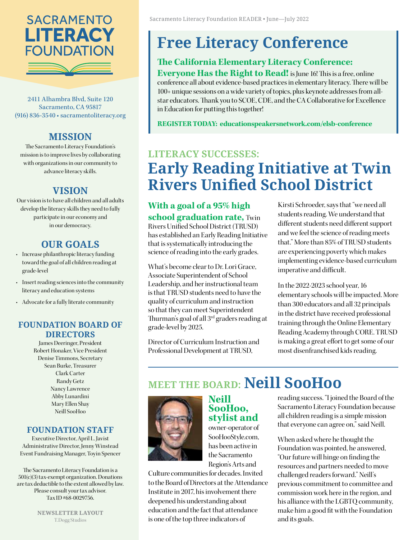

2411 Alhambra Blvd, Suite 120 Sacramento, CA 95817 (916) 836-3540 • [sacramentoliteracy.org](http://www.sacramentoliteracy.org)

#### **MISSION**

The Sacramento Literacy Foundation's mission is to improve lives by collaborating with organizations in our community to advance literacy skills.

#### **VISION**

Our vision is to have all children and all adults develop the literacy skills they need to fully participate in our economy and in our democracy.

#### **OUR GOALS**

- Increase philanthropic literacy funding toward the goal of all children reading at grade-level
- Insert reading sciences into the community literacy and education systems
- Advocate for a fully literate community

#### **FOUNDATION BOARD OF DIRECTORS**

James Deeringer, President Robert Honaker, Vice President Denise Timmons, Secretary Sean Burke, Treasurer Clark Carter Randy Getz Nancy Lawrence Abby Lunardini Mary Ellen Shay Neill SooHoo

#### **FOUNDATION STAFF**

Executive Director, April L. Javist Administrative Director, Jenny Winstead Event Fundraising Manager, Toyin Spencer

The Sacramento Literacy Foundation is a 501(c)(3) tax-exempt organization. Donations are tax deductible to the extent allowed by law. Please consult your tax advisor. Tax ID #68-0029756.

> **NEWSLETTER LAYOUT** T.Dogg Studios

## **Free Literacy Conference**

#### **The California Elementary Literacy Conference:**

**Everyone Has the Right to Read!** is June 16! This is a free, online conference all about evidence-based practices in elementary literacy. There will be 100+ unique sessions on a wide variety of topics, plus keynote addresses from allstar educators. Thank you to SCOE, CDE, and the CA Collaborative for Excellence in Education for putting this together!

**REGISTER TODAY: [educationspeakersnetwork.com/elsb-conference](https://educationspeakersnetwork.com/elsb-conference/)**

## **LITERACY SUCCESSES: Early Reading Initiative at Twin Rivers Unified School District**

#### **With a goal of a 95% high school graduation rate,** Twin

Rivers Unified School District (TRUSD) has established an Early Reading Initiative that is systematically introducing the science of reading into the early grades.

What's become clear to Dr. Lori Grace, Associate Superintendent of School Leadership, and her instructional team is that TRUSD students need to have the quality of curriculum and instruction so that they can meet Superintendent Thurman's goal of all 3rd graders reading at grade-level by 2025.

Director of Curriculum Instruction and Professional Development at TRUSD,

Kirsti Schroeder, says that "we need all students reading. We understand that different students need different support and we feel the science of reading meets that." More than 85% of TRUSD students are experiencing poverty which makes implementing evidence-based curriculum imperative and difficult.

In the 2022-2023 school year, 16 elementary schools will be impacted. More than 300 educators and all 32 principals in the district have received professional training through the Online Elementary Reading Academy through CORE. TRUSD is making a great effort to get some of our most disenfranchised kids reading.

## **MEET THE BOARD: Neill SooHoo**



#### **Neill SooHoo, stylist and**

owner-operator of SooHooStyle.com, has been active in the Sacramento Region's Arts and

Culture communities for decades. Invited to the Board of Directors at the Attendance Institute in 2017, his involvement there deepened his understanding about education and the fact that attendance is one of the top three indicators of

reading success. "I joined the Board of the Sacramento Literacy Foundation because all children reading is a simple mission that everyone can agree on," said Neill.

When asked where he thought the Foundation was pointed, he answered, "Our future will hinge on finding the resources and partners needed to move challenged readers forward." Neill's previous commitment to committee and commission work here in the region, and his alliance with the LGBTQ community, make him a good fit with the Foundation and its goals.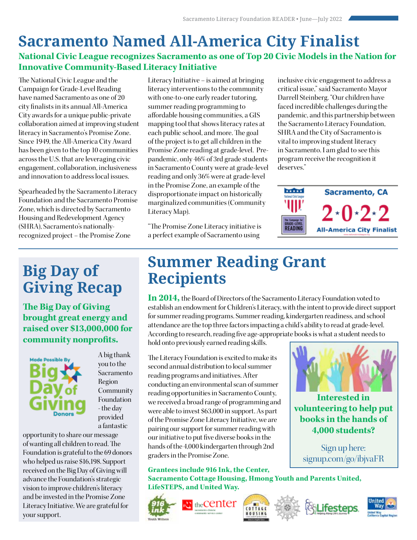## **National Civic League recognizes Sacramento as one of Top 20 Civic Models in the Nation for Sacramento Named All-America City Finalist**

#### **Innovative Community-Based Literacy Initiative**

[The National Civic League and the](https://www.nationalcivicleague.org/america-city-award/)  [Campaign for Grade-Level Reading](https://www.nationalcivicleague.org/america-city-award/) have named Sacramento as one of 20 city finalists in its annual All-America City awards for a unique public-private collaboration aimed at improving student literacy in Sacramento's Promise Zone. Since 1949, the All-America City Award has been given to the top 10 communities across the U.S. that are leveraging civic engagement, collaboration, inclusiveness and innovation to address local issues.

Spearheaded by the [Sacramento Literacy](http://sacramentoliteracy.org)  [Foundation](http://sacramentoliteracy.org) and th[e Sacramento Promise](https://www.sacramentopromisezone.org/)  [Zone,](https://www.sacramentopromisezone.org/) which is directed by Sacramento Housing and Redevelopment Agency [\(SHRA](https://www.shra.org/)), Sacramento's nationallyrecognized project – the Promise Zone

## **Big Day of Giving Recap**

**The Big Day of Giving brought great energy and raised over \$13,000,000 for community nonprofits.**



A big thank you to the Sacramento Region Community Foundation - the day provided a fantastic

opportunity to share our message of wanting all children to read. The Foundation is grateful to the 69 donors who helped us raise \$16,198. Support received on the Big Day of Giving will advance the Foundation's strategic vision to improve children's literacy and be invested in the Promise Zone Literacy Initiative. We are grateful for your support.

Literacy Initiative – is aimed at bringing literacy interventions to the community with one-to-one early reader tutoring, summer reading programming to affordable housing communities, a GIS mapping tool that shows literacy rates at each public school, and more. The goal of the project is to get all children in the Promise Zone reading at grade-level. Prepandemic, only 46% of 3rd grade students in Sacramento County were at grade-level reading and only 36% were at grade-level in the Promise Zone, an example of the disproportionate impact on historically marginalized communities [\(Community](https://www.sacramentoliteracy.org/literacy-map/)  [Literacy Map\).](https://www.sacramentoliteracy.org/literacy-map/)

"The Promise Zone Literacy initiative is a perfect example of Sacramento using

inclusive civic engagement to address a critical issue," said Sacramento Mayor Darrell Steinberg. "Our children have faced incredible challenges during the pandemic, and this partnership between the Sacramento Literacy Foundation, SHRA and the City of Sacramento is vital to improving student literacy in Sacramento. I am glad to see this program receive the recognition it deserves."



## **Summer Reading Grant Recipients**

**In 2014,** the Board of Directors of the Sacramento Literacy Foundation voted to establish an endowment for Children's Literacy, with the intent to provide direct support for summer reading programs. Summer reading, kindergarten readiness, and school attendance are the top three factors impacting a child's ability to read at grade-level. According to research, reading five age-appropriate books is what a student needs to hold onto previously earned reading skills.

The Literacy Foundation is excited to make its second annual distribution to local summer reading programs and initiatives. After conducting an environmental scan of summer reading opportunities in Sacramento County, we received a broad range of programming and were able to invest \$63,000 in support. As part of the Promise Zone Literacy Initiative, we are pairing our support for summer reading with our initiative to put five diverse books in the hands of the 4,000 kindergarten through 2nd graders in the Promise Zone.

**Grantees include 916 Ink, the Center, Sacramento Cottage Housing, Hmong Youth and Parents United, LifeSTEPS, and United Way.**











**Interested in volunteering to help put books in the hands of 4,000 students?**

Sign up here: [signup.com/go/ibjvaFR](http://signup.com/go/ibjvaFR)